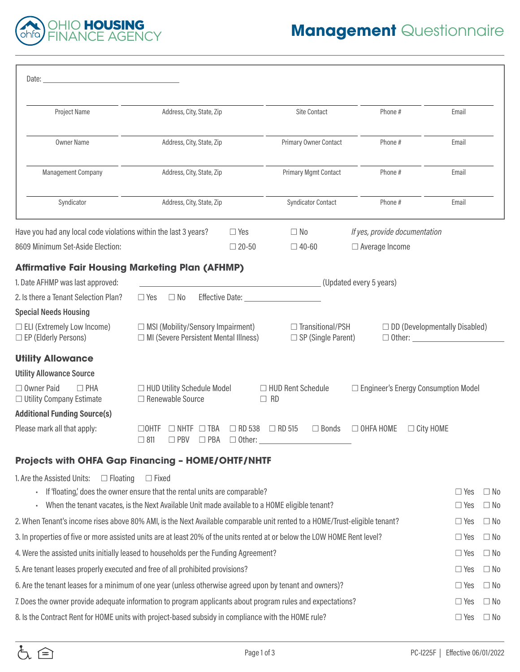

| Date:                                                                                                                      |                                                                                                                                                                                            |                                |                                  |                                                      |                                                        |                                                              |                          |                        |
|----------------------------------------------------------------------------------------------------------------------------|--------------------------------------------------------------------------------------------------------------------------------------------------------------------------------------------|--------------------------------|----------------------------------|------------------------------------------------------|--------------------------------------------------------|--------------------------------------------------------------|--------------------------|------------------------|
| Project Name                                                                                                               | Address, City, State, Zip                                                                                                                                                                  |                                |                                  | <b>Site Contact</b>                                  | Phone#                                                 |                                                              | Email                    |                        |
| <b>Owner Name</b>                                                                                                          | Address, City, State, Zip                                                                                                                                                                  |                                |                                  | Primary Owner Contact                                | Phone#                                                 |                                                              | Email                    |                        |
| <b>Management Company</b>                                                                                                  | Address, City, State, Zip                                                                                                                                                                  |                                |                                  | <b>Primary Mgmt Contact</b>                          | Phone#                                                 |                                                              | Email                    |                        |
| Syndicator                                                                                                                 | Address, City, State, Zip                                                                                                                                                                  |                                |                                  | <b>Syndicator Contact</b>                            | Phone#                                                 |                                                              | Email                    |                        |
| Have you had any local code violations within the last 3 years?<br>8609 Minimum Set-Aside Election:                        |                                                                                                                                                                                            | $\Box$ Yes<br>$\square$ 20-50  | $\Box$ No<br>$\Box$ 40-60        |                                                      | If yes, provide documentation<br>$\Box$ Average Income |                                                              |                          |                        |
| <b>Affirmative Fair Housing Marketing Plan (AFHMP)</b>                                                                     |                                                                                                                                                                                            |                                |                                  |                                                      |                                                        |                                                              |                          |                        |
| 1. Date AFHMP was last approved:                                                                                           |                                                                                                                                                                                            |                                |                                  |                                                      | (Updated every 5 years)                                |                                                              |                          |                        |
| 2. Is there a Tenant Selection Plan?                                                                                       | $\Box$ Yes<br>$\Box$ No                                                                                                                                                                    | Effective Date:                |                                  |                                                      |                                                        |                                                              |                          |                        |
| <b>Special Needs Housing</b>                                                                                               |                                                                                                                                                                                            |                                |                                  |                                                      |                                                        |                                                              |                          |                        |
| $\Box$ ELI (Extremely Low Income)<br>□ EP (Elderly Persons)                                                                | $\Box$ MSI (Mobility/Sensory Impairment)<br>$\Box$ MI (Severe Persistent Mental Illness)                                                                                                   |                                |                                  | $\Box$ Transitional/PSH<br>$\Box$ SP (Single Parent) |                                                        | $\Box$ DD (Developmentally Disabled)<br>$\Box$ Other: $\Box$ |                          |                        |
| <b>Utility Allowance</b>                                                                                                   |                                                                                                                                                                                            |                                |                                  |                                                      |                                                        |                                                              |                          |                        |
| <b>Utility Allowance Source</b>                                                                                            |                                                                                                                                                                                            |                                |                                  |                                                      |                                                        |                                                              |                          |                        |
| □ Owner Paid<br>$\Box$ PHA<br>$\Box$ Utility Company Estimate                                                              | □ HUD Utility Schedule Model<br>□ Renewable Source                                                                                                                                         |                                | □ HUD Rent Schedule<br>$\Box$ RD |                                                      | □ Engineer's Energy Consumption Model                  |                                                              |                          |                        |
| <b>Additional Funding Source(s)</b>                                                                                        |                                                                                                                                                                                            |                                |                                  |                                                      |                                                        |                                                              |                          |                        |
| Please mark all that apply:                                                                                                | $\Box$ TBA<br>$\Box$ ohtf<br>NHTF<br>$\Box$ 811<br>PBV<br>$\Box$ PBA                                                                                                                       | $\Box$ RD 538<br>$\Box$ Other: | $\Box$ RD 515                    | $\Box$ Bonds                                         | $\Box$ OHFA HOME                                       | $\Box$ City HOME                                             |                          |                        |
| Projects with OHFA Gap Financing - HOME/OHTF/NHTF                                                                          |                                                                                                                                                                                            |                                |                                  |                                                      |                                                        |                                                              |                          |                        |
| 1. Are the Assisted Units:<br>$\Box$ Floating                                                                              | $\Box$ Fixed<br>If 'floating' does the owner ensure that the rental units are comparable?<br>When the tenant vacates, is the Next Available Unit made available to a HOME eligible tenant? |                                |                                  |                                                      |                                                        |                                                              | $\Box$ Yes<br>$\Box$ Yes | $\Box$ No<br>$\Box$ No |
| 2. When Tenant's income rises above 80% AMI, is the Next Available comparable unit rented to a HOME/Trust-eligible tenant? |                                                                                                                                                                                            |                                |                                  |                                                      |                                                        |                                                              | $\Box$ Yes               | $\Box$ No              |
| 3. In properties of five or more assisted units are at least 20% of the units rented at or below the LOW HOME Rent level?  |                                                                                                                                                                                            |                                |                                  |                                                      |                                                        |                                                              | $\Box$ Yes               | $\Box$ No              |
| 4. Were the assisted units initially leased to households per the Funding Agreement?                                       |                                                                                                                                                                                            |                                |                                  |                                                      |                                                        |                                                              | $\Box$ Yes               | $\Box$ No              |
| 5. Are tenant leases properly executed and free of all prohibited provisions?                                              |                                                                                                                                                                                            |                                |                                  |                                                      |                                                        |                                                              | $\Box$ Yes               | $\Box$ No              |
| 6. Are the tenant leases for a minimum of one year (unless otherwise agreed upon by tenant and owners)?                    |                                                                                                                                                                                            |                                |                                  |                                                      |                                                        |                                                              | $\Box$ Yes               | $\Box$ No              |
| 7. Does the owner provide adequate information to program applicants about program rules and expectations?                 |                                                                                                                                                                                            |                                |                                  |                                                      |                                                        |                                                              | $\Box$ Yes               | $\Box$ No              |
| 8. Is the Contract Rent for HOME units with project-based subsidy in compliance with the HOME rule?                        |                                                                                                                                                                                            |                                |                                  |                                                      |                                                        |                                                              |                          |                        |
|                                                                                                                            |                                                                                                                                                                                            |                                |                                  |                                                      |                                                        |                                                              | $\Box$ Yes               | $\Box$ No              |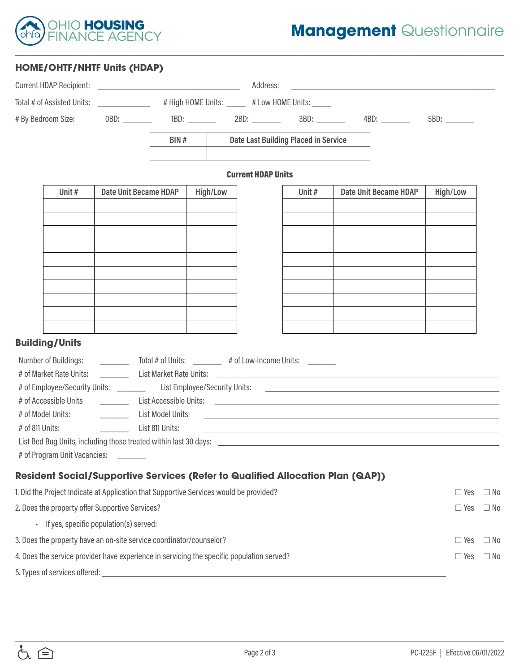

## **HOME/OHTF/NHTF Units (HDAP)**

|                                                                                                                                                                                                                               |                                                      |                   |                                                 | Address:                             |            | <u> Alexandria de la contrada de la contrada de la contrada de la contrada de la contrada de la contrada de la c</u> |            |           |
|-------------------------------------------------------------------------------------------------------------------------------------------------------------------------------------------------------------------------------|------------------------------------------------------|-------------------|-------------------------------------------------|--------------------------------------|------------|----------------------------------------------------------------------------------------------------------------------|------------|-----------|
| Total # of Assisted Units: ______________                                                                                                                                                                                     |                                                      |                   | # High HOME Units: _____ # Low HOME Units: ____ |                                      |            |                                                                                                                      |            |           |
| # By Bedroom Size:                                                                                                                                                                                                            | 0BD: _______                                         |                   |                                                 |                                      |            |                                                                                                                      |            |           |
|                                                                                                                                                                                                                               |                                                      | BIN#              |                                                 | Date Last Building Placed in Service |            |                                                                                                                      |            |           |
|                                                                                                                                                                                                                               |                                                      |                   |                                                 | <b>Current HDAP Units</b>            |            |                                                                                                                      |            |           |
| Unit#                                                                                                                                                                                                                         | Date Unit Became HDAP                                |                   | High/Low                                        |                                      | Unit #     | Date Unit Became HDAP                                                                                                | High/Low   |           |
|                                                                                                                                                                                                                               |                                                      |                   |                                                 |                                      |            |                                                                                                                      |            |           |
|                                                                                                                                                                                                                               |                                                      |                   |                                                 |                                      |            |                                                                                                                      |            |           |
|                                                                                                                                                                                                                               |                                                      |                   |                                                 |                                      |            |                                                                                                                      |            |           |
|                                                                                                                                                                                                                               |                                                      |                   |                                                 |                                      |            |                                                                                                                      |            |           |
|                                                                                                                                                                                                                               |                                                      |                   |                                                 |                                      |            |                                                                                                                      |            |           |
|                                                                                                                                                                                                                               |                                                      |                   |                                                 |                                      |            |                                                                                                                      |            |           |
|                                                                                                                                                                                                                               |                                                      |                   |                                                 |                                      |            |                                                                                                                      |            |           |
|                                                                                                                                                                                                                               |                                                      |                   |                                                 |                                      |            |                                                                                                                      |            |           |
| <b>Building/Units</b>                                                                                                                                                                                                         |                                                      |                   |                                                 |                                      |            |                                                                                                                      |            |           |
| Number of Buildings:                                                                                                                                                                                                          | Total # of Units: 4 of Low-Income Units:             |                   |                                                 |                                      |            |                                                                                                                      |            |           |
| # of Market Rate Units:                                                                                                                                                                                                       | $\mathcal{L}^{\text{max}}(\mathcal{L}^{\text{max}})$ |                   |                                                 |                                      |            |                                                                                                                      |            |           |
|                                                                                                                                                                                                                               |                                                      |                   |                                                 |                                      |            |                                                                                                                      |            |           |
| # of Accessible Units                                                                                                                                                                                                         |                                                      |                   |                                                 |                                      |            |                                                                                                                      |            |           |
| # of Model Units:                                                                                                                                                                                                             | <u> 1999 - Jan Jawa</u>                              | List Model Units: |                                                 |                                      |            | <u> 1989 - Andrea Santa Andrea Santa Andrea Santa Andrea Santa Andrea Santa Andrea Santa Andrea Santa Andrea San</u> |            |           |
| # of 811 Units:                                                                                                                                                                                                               |                                                      | List 811 Units:   |                                                 |                                      |            | <u> 1989 - Jan Salaman Salaman (j. 1989)</u>                                                                         |            |           |
| # of Program Unit Vacancies:                                                                                                                                                                                                  |                                                      |                   |                                                 |                                      |            |                                                                                                                      |            |           |
|                                                                                                                                                                                                                               |                                                      |                   |                                                 |                                      |            |                                                                                                                      |            |           |
| <b>Resident Social/Supportive Services (Refer to Qualified Allocation Plan (QAP))</b><br>1. Did the Project Indicate at Application that Supportive Services would be provided?                                               |                                                      |                   |                                                 |                                      |            |                                                                                                                      | $\Box$ Yes | $\Box$ No |
|                                                                                                                                                                                                                               |                                                      |                   |                                                 |                                      |            |                                                                                                                      |            |           |
| 2. Does the property offer Supportive Services?                                                                                                                                                                               |                                                      |                   |                                                 |                                      |            |                                                                                                                      | $\Box$ Yes | $\Box$ No |
| If yes, specific population(s) served: Letter and the served of the served of the served of the served of the served of the served of the served of the served of the served of the served of the served of the served of the |                                                      |                   |                                                 |                                      |            |                                                                                                                      |            |           |
| 3. Does the property have an on-site service coordinator/counselor?                                                                                                                                                           |                                                      |                   |                                                 |                                      |            |                                                                                                                      | $\Box$ Yes | $\Box$ No |
| 4. Does the service provider have experience in servicing the specific population served?                                                                                                                                     |                                                      |                   |                                                 |                                      | $\Box$ Yes | $\Box$ No                                                                                                            |            |           |

5. Types of services offered:

も合